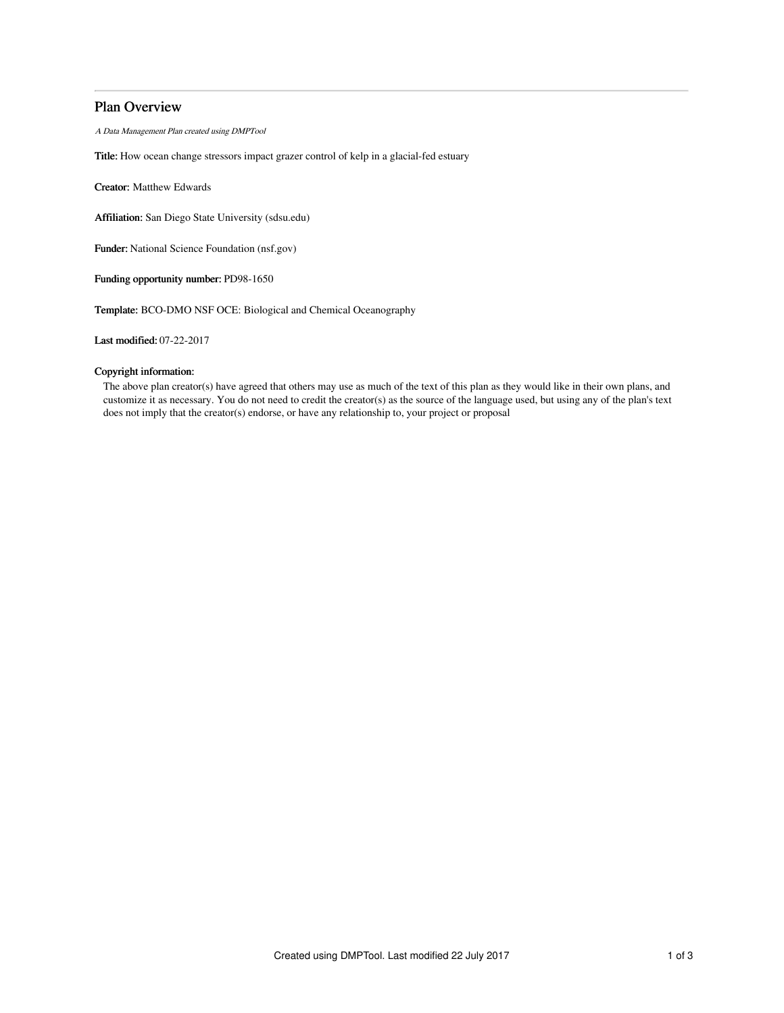# Plan Overview

A Data Management Plan created using DMPTool

Title: How ocean change stressors impact grazer control of kelp in a glacial-fed estuary

Creator: Matthew Edwards

Affiliation: San Diego State University (sdsu.edu)

Funder: National Science Foundation (nsf.gov)

Funding opportunity number: PD98-1650

Template: BCO-DMO NSF OCE: Biological and Chemical Oceanography

Last modified: 07-22-2017

# Copyright information:

The above plan creator(s) have agreed that others may use as much of the text of this plan as they would like in their own plans, and customize it as necessary. You do not need to credit the creator(s) as the source of the language used, but using any of the plan's text does not imply that the creator(s) endorse, or have any relationship to, your project or proposal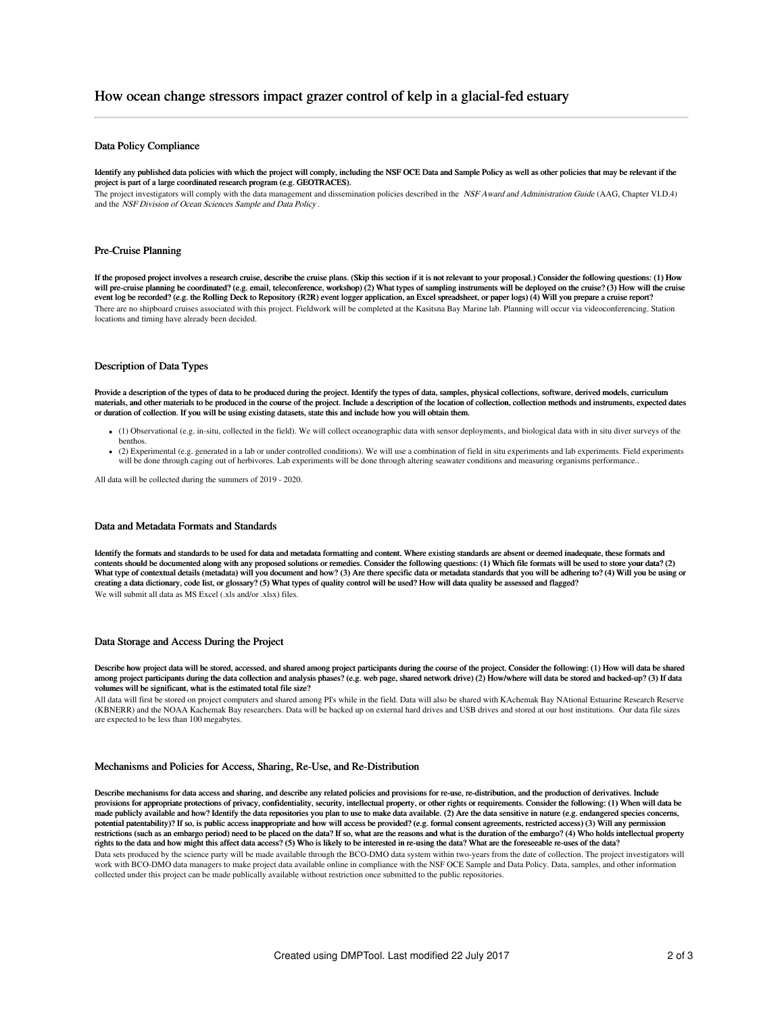## Data Policy Compliance

Identify any published data policies with which the project will comply, including the NSF OCE Data and Sample Policy as well as other policies that may be relevant if the project is part of a large coordinated research program (e.g. GEOTRACES).

The project investigators will comply with the data management and dissemination policies described in the NSF Award and Administration Guide (AAG, Chapter VI.D.4) and the NSF Division of Ocean Sciences Sample and Data Policy .

#### Pre-Cruise Planning

If the proposed project involves a research cruise, describe the cruise plans. (Skip this section if it is not relevant to your proposal.) Consider the following questions: (1) How will pre-cruise planning be coordinated? (e.g. email, teleconference, workshop) (2) What types of sampling instruments will be deployed on the cruise? (3) How will the cruise event log be recorded? (e.g. the Rolling Deck to Repository (R2R) event logger application, an Excel spreadsheet, or paper logs) (4) Will you prepare a cruise report? There are no shipboard cruises associated with this project. Fieldwork will be completed at the Kasitsna Bay Marine lab. Planning will occur via videoconferencing. Station locations and timing have already been decided.

# Description of Data Types

Provide a description of the types of data to be produced during the project. Identify the types of data, samples, physical collections, software, derived models, curriculum materials, and other materials to be produced in the course of the project. Include a description of the location of collection, collection methods and instruments, expected dates or duration of collection. If you will be using existing datasets, state this and include how you will obtain them.

- (1) Observational (e.g. in-situ, collected in the field). We will collect oceanographic data with sensor deployments, and biological data with in situ diver surveys of the benthos.
- (2) Experimental (e.g. generated in a lab or under controlled conditions). We will use a combination of field in situ experiments and lab experiments. Field experiments will be done through caging out of herbivores. Lab experiments will be done through altering seawater conditions and measuring organisms performance..

All data will be collected during the summers of 2019 - 2020.

#### Data and Metadata Formats and Standards

Identify the formats and standards to be used for data and metadata formatting and content. Where existing standards are absent or deemed inadequate, these formats and contents should be documented along with any proposed solutions or remedies. Consider the following questions: (1) Which file formats will be used to store your data? (2)<br>What type of contextual details (metadata) will you creating a data dictionary, code list, or glossary? (5) What types of quality control will be used? How will data quality be assessed and flagged? We will submit all data as MS Excel (.xls and/or .xlsx) files.

#### Data Storage and Access During the Project

Describe how project data will be stored, accessed, and shared among project participants during the course of the project. Consider the following: (1) How will data be shared among project participants during the data collection and analysis phases? (e.g. web page, shared network drive) (2) How/where will data be stored and backed-up? (3) If data volumes will be significant, what is the estimated total file size?

All data will first be stored on project computers and shared among PI's while in the field. Data will also be shared with KAchemak Bay NAtional Estuarine Research Reserve (KBNERR) and the NOAA Kachemak Bay researchers. Data will be backed up on external hard drives and USB drives and stored at our host institutions. Our data file sizes are expected to be less than 100 megabytes.

#### Mechanisms and Policies for Access, Sharing, Re-Use, and Re-Distribution

Describe mechanisms for data access and sharing, and describe any related policies and provisions for re-use, re-distribution, and the production of derivatives. Include provisions for appropriate protections of privacy, confidentiality, security, intellectual property, or other rights or requirements. Consider the following: (1) When will data be made publicly available and how? Identify the data repositories you plan to use to make data available. (2) Are the data sensitive in nature (e.g. endangered species concerns, potential patentability)? If so, is public access inappropriate and how will access be provided? (e.g. formal consent agreements, restricted access) (3) Will any permission restrictions (such as an embargo period) need to be placed on the data? If so, what are the reasons and what is the duration of the embargo? (4) Who holds intellectual property rights to the data and how might this affect data access? (5) Who is likely to be interested in re-using the data? What are the foreseeable re-uses of the data? Data sets produced by the science party will be made available through the BCO-DMO data system within two-years from the date of collection. The project investigators will work with BCO-DMO data managers to make project data available online in compliance with the NSF OCE Sample and Data Policy. Data, samples, and other information collected under this project can be made publically available without restriction once submitted to the public repositories.